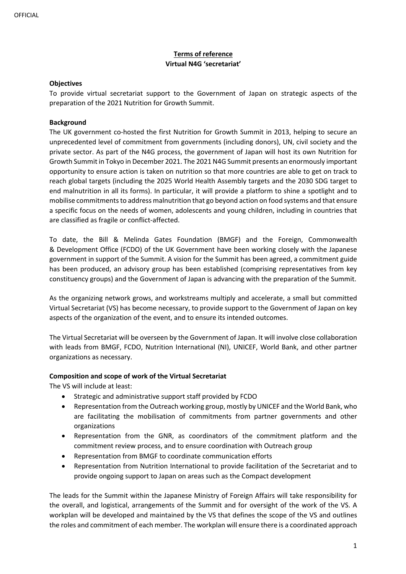# **Terms of reference Virtual N4G 'secretariat'**

#### **Objectives**

To provide virtual secretariat support to the Government of Japan on strategic aspects of the preparation of the 2021 Nutrition for Growth Summit.

## **Background**

The UK government co-hosted the first Nutrition for Growth Summit in 2013, helping to secure an unprecedented level of commitment from governments (including donors), UN, civil society and the private sector. As part of the N4G process, the government of Japan will host its own Nutrition for Growth Summit in Tokyo in December 2021. The 2021 N4G Summit presents an enormously important opportunity to ensure action is taken on nutrition so that more countries are able to get on track to reach global targets (including the 2025 World Health Assembly targets and the 2030 SDG target to end malnutrition in all its forms). In particular, it will provide a platform to shine a spotlight and to mobilise commitments to address malnutrition that go beyond action on food systems and that ensure a specific focus on the needs of women, adolescents and young children, including in countries that are classified as fragile or conflict-affected.

To date, the Bill & Melinda Gates Foundation (BMGF) and the Foreign, Commonwealth & Development Office (FCDO) of the UK Government have been working closely with the Japanese government in support of the Summit. A vision for the Summit has been agreed, a commitment guide has been produced, an advisory group has been established (comprising representatives from key constituency groups) and the Government of Japan is advancing with the preparation of the Summit.

As the organizing network grows, and workstreams multiply and accelerate, a small but committed Virtual Secretariat (VS) has become necessary, to provide support to the Government of Japan on key aspects of the organization of the event, and to ensure its intended outcomes.

The Virtual Secretariat will be overseen by the Government of Japan. It will involve close collaboration with leads from BMGF, FCDO, Nutrition International (NI), UNICEF, World Bank, and other partner organizations as necessary.

#### **Composition and scope of work of the Virtual Secretariat**

The VS will include at least:

- Strategic and administrative support staff provided by FCDO
- Representation from the Outreach working group, mostly by UNICEF and the World Bank, who are facilitating the mobilisation of commitments from partner governments and other organizations
- Representation from the GNR, as coordinators of the commitment platform and the commitment review process, and to ensure coordination with Outreach group
- Representation from BMGF to coordinate communication efforts
- Representation from Nutrition International to provide facilitation of the Secretariat and to provide ongoing support to Japan on areas such as the Compact development

The leads for the Summit within the Japanese Ministry of Foreign Affairs will take responsibility for the overall, and logistical, arrangements of the Summit and for oversight of the work of the VS. A workplan will be developed and maintained by the VS that defines the scope of the VS and outlines the roles and commitment of each member. The workplan will ensure there is a coordinated approach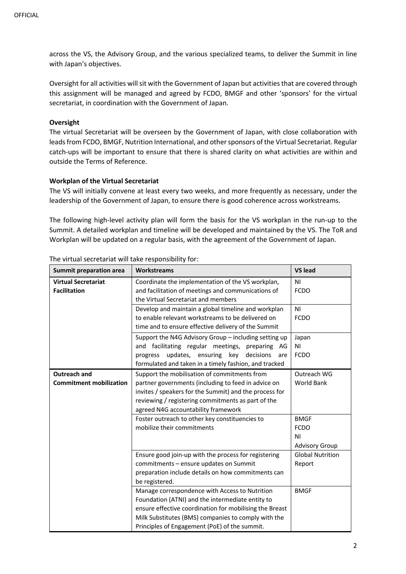across the VS, the Advisory Group, and the various specialized teams, to deliver the Summit in line with Japan's objectives.

Oversight for all activities will sit with the Government of Japan but activities that are covered through this assignment will be managed and agreed by FCDO, BMGF and other 'sponsors' for the virtual secretariat, in coordination with the Government of Japan.

#### **Oversight**

The virtual Secretariat will be overseen by the Government of Japan, with close collaboration with leads from FCDO, BMGF, Nutrition International, and other sponsors of the Virtual Secretariat. Regular catch-ups will be important to ensure that there is shared clarity on what activities are within and outside the Terms of Reference.

## **Workplan of the Virtual Secretariat**

The VS will initially convene at least every two weeks, and more frequently as necessary, under the leadership of the Government of Japan, to ensure there is good coherence across workstreams.

The following high-level activity plan will form the basis for the VS workplan in the run-up to the Summit. A detailed workplan and timeline will be developed and maintained by the VS. The ToR and Workplan will be updated on a regular basis, with the agreement of the Government of Japan.

| Summit preparation area        | <b>Workstreams</b>                                      | <b>VS lead</b>          |
|--------------------------------|---------------------------------------------------------|-------------------------|
| <b>Virtual Secretariat</b>     | Coordinate the implementation of the VS workplan,       | N <sub>1</sub>          |
| <b>Facilitation</b>            | and facilitation of meetings and communications of      | <b>FCDO</b>             |
|                                | the Virtual Secretariat and members                     |                         |
|                                | Develop and maintain a global timeline and workplan     | N <sub>1</sub>          |
|                                | to enable relevant workstreams to be delivered on       | <b>FCDO</b>             |
|                                | time and to ensure effective delivery of the Summit     |                         |
|                                | Support the N4G Advisory Group - including setting up   | Japan                   |
|                                | and facilitating regular meetings, preparing AG         | N <sub>1</sub>          |
|                                | updates, ensuring key<br>decisions<br>progress<br>are   | <b>FCDO</b>             |
|                                | formulated and taken in a timely fashion, and tracked   |                         |
| <b>Outreach and</b>            | Support the mobilisation of commitments from            | Outreach WG             |
| <b>Commitment mobilization</b> | partner governments (including to feed in advice on     | World Bank              |
|                                | invites / speakers for the Summit) and the process for  |                         |
|                                | reviewing / registering commitments as part of the      |                         |
|                                | agreed N4G accountability framework                     |                         |
|                                | Foster outreach to other key constituencies to          | <b>BMGF</b>             |
|                                | mobilize their commitments                              | <b>FCDO</b>             |
|                                |                                                         | N <sub>1</sub>          |
|                                |                                                         | <b>Advisory Group</b>   |
|                                | Ensure good join-up with the process for registering    | <b>Global Nutrition</b> |
|                                | commitments - ensure updates on Summit                  | Report                  |
|                                | preparation include details on how commitments can      |                         |
|                                | be registered.                                          |                         |
|                                | Manage correspondence with Access to Nutrition          | <b>BMGF</b>             |
|                                | Foundation (ATNI) and the intermediate entity to        |                         |
|                                | ensure effective coordination for mobilising the Breast |                         |
|                                | Milk Substitutes (BMS) companies to comply with the     |                         |
|                                | Principles of Engagement (PoE) of the summit.           |                         |

The virtual secretariat will take responsibility for: